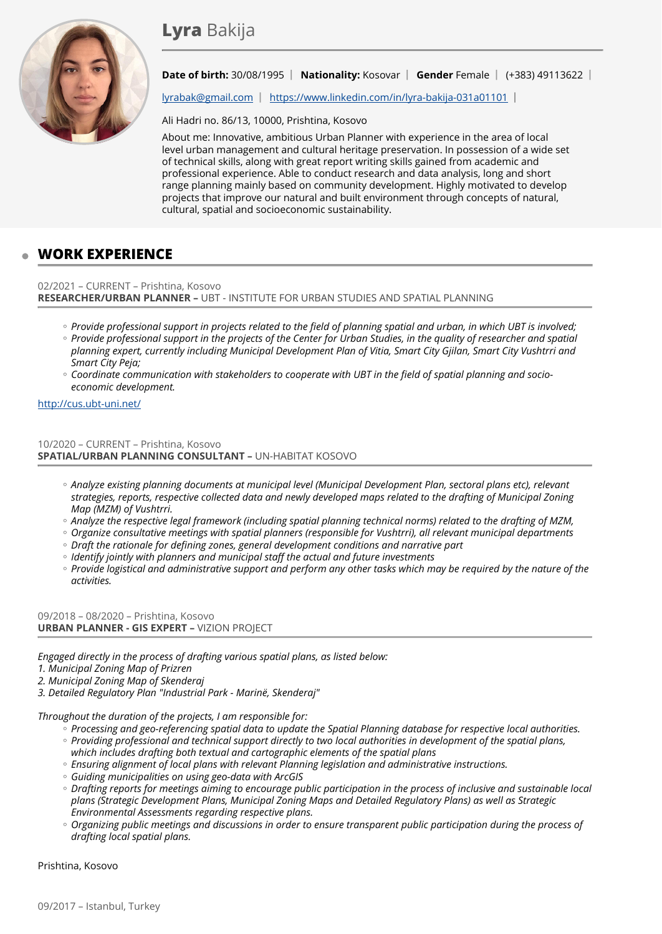

### **Date of birth:** 30/08/1995 **| Nationality:** Kosovar **| Gender** Female | (+383) 49113622 |

[lyrabak@gmail.com](mailto:lyrabak@gmail.com) | <https://www.linkedin.com/in/lyra-bakija-031a01101>|

Ali Hadri no. 86/13, 10000, Prishtina, Kosovo

About me: Innovative, ambitious Urban Planner with experience in the area of local level urban management and cultural heritage preservation. In possession of a wide set of technical skills, along with great report writing skills gained from academic and professional experience. Able to conduct research and data analysis, long and short range planning mainly based on community development. Highly motivated to develop projects that improve our natural and built environment through concepts of natural, cultural, spatial and socioeconomic sustainability.

# **WORK EXPERIENCE**

### 02/2021 – CURRENT – Prishtina, Kosovo **RESEARCHER/URBAN PLANNER –** UBT - INSTITUTE FOR URBAN STUDIES AND SPATIAL PLANNING

- Provide professional support in projects related to the field of planning spatial and urban, in which UBT is involved;
- *Provide professional support in the projects of the Center for Urban Studies, in the quality of researcher and spatial planning expert, currently including Municipal Development Plan of Vitia, Smart City Gjilan, Smart City Vushtrri and Smart City Peja;*
- *Coordinate communication with stakeholders to cooperate with UBT in the field of spatial planning and socio- economic development.*

#### <http://cus.ubt-uni.net/>

10/2020 – CURRENT – Prishtina, Kosovo **SPATIAL/URBAN PLANNING CONSULTANT –** UN-HABITAT KOSOVO

- *Analyze existing planning documents at municipal level (Municipal Development Plan, sectoral plans etc), relevant strategies, reports, respective collected data and newly developed maps related to the drafting of Municipal Zoning Map (MZM) of Vushtrri.*
- *Analyze the respective legal framework (including spatial planning technical norms) related to the drafting of MZM,* ◦
- *Organize consultative meetings with spatial planners (responsible for Vushtrri), all relevant municipal departments* ◦
- *Draft the rationale for defining zones, general development conditions and narrative part* ◦
- *Identify jointly with planners and municipal staff the actual and future investments* ◦
- *Provide logistical and administrative support and perform any other tasks which may be required by the nature of the activities.*

09/2018 – 08/2020 – Prishtina, Kosovo **URBAN PLANNER - GIS EXPERT –** VIZION PROJECT

*Engaged directly in the process of drafting various spatial plans, as listed below:*

*1. Municipal Zoning Map of Prizren*

*2. Municipal Zoning Map of Skenderaj*

*3. Detailed Regulatory Plan "Industrial Park - Marinë, Skenderaj"* 

*Throughout the duration of the projects, I am responsible for:*

- *Processing and geo-referencing spatial data to update the Spatial Planning database for respective local authorities. Providing professional and technical support directly to two local authorities in development of the spatial plans,* ◦
- *which includes drafting both textual and cartographic elements of the spatial plans Ensuring alignment of local plans with relevant Planning legislation and administrative instructions.* ◦
- *Guiding municipalities on using geo-data with ArcGIS* ◦
- *Drafting reports for meetings aiming to encourage public participation in the process of inclusive and sustainable local plans (Strategic Development Plans, Municipal Zoning Maps and Detailed Regulatory Plans) as well as Strategic Environmental Assessments regarding respective plans.*
- *Organizing public meetings and discussions in order to ensure transparent public participation during the process of* ◦*drafting local spatial plans.*

Prishtina, Kosovo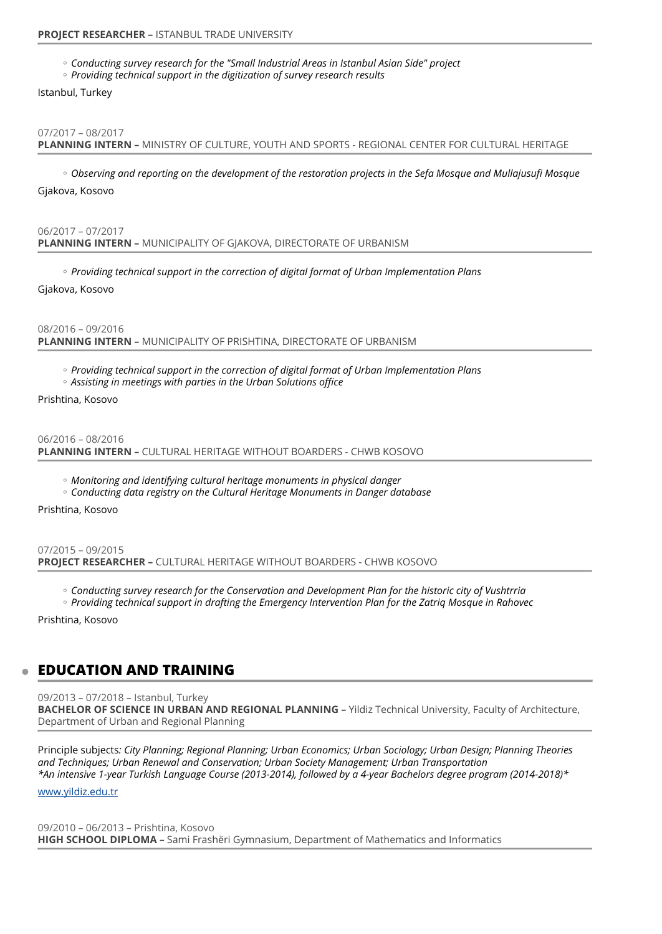*Conducting survey research for the "Small Industrial Areas in Istanbul Asian Side" project* ◦

*Providing technical support in the digitization of survey research results* ◦

Istanbul, Turkey

#### 07/2017 – 08/2017

**PLANNING INTERN –** MINISTRY OF CULTURE, YOUTH AND SPORTS - REGIONAL CENTER FOR CULTURAL HERITAGE

*Observing and reporting on the development of the restoration projects in the Sefa Mosque and Mullajusufi Mosque* ◦

Gjakova, Kosovo

06/2017 – 07/2017 **PLANNING INTERN –** MUNICIPALITY OF GJAKOVA, DIRECTORATE OF URBANISM

*Providing technical support in the correction of digital format of Urban Implementation Plans* ◦

Gjakova, Kosovo

08/2016 – 09/2016 **PLANNING INTERN –** MUNICIPALITY OF PRISHTINA, DIRECTORATE OF URBANISM

- *Providing technical support in the correction of digital format of Urban Implementation Plans* ◦
- *Assisting in meetings with parties in the Urban Solutions office* ◦

Prishtina, Kosovo

06/2016 – 08/2016 **PLANNING INTERN –** CULTURAL HERITAGE WITHOUT BOARDERS - CHWB KOSOVO

- *Monitoring and identifying cultural heritage monuments in physical danger* ◦
- *Conducting data registry on the Cultural Heritage Monuments in Danger database* ◦

Prishtina, Kosovo

07/2015 – 09/2015 **PROJECT RESEARCHER –** CULTURAL HERITAGE WITHOUT BOARDERS - CHWB KOSOVO

- *Conducting survey research for the Conservation and Development Plan for the historic city of Vushtrria* ◦
- *Providing technical support in drafting the Emergency Intervention Plan for the Zatriq Mosque in Rahovec* ◦

Prishtina, Kosovo

### **EDUCATION AND TRAINING**

09/2013 – 07/2018 – Istanbul, Turkey **BACHELOR OF SCIENCE IN URBAN AND REGIONAL PLANNING –** Yildiz Technical University, Faculty of Architecture, Department of Urban and Regional Planning

Principle subjects*: City Planning; Regional Planning; Urban Economics; Urban Sociology; Urban Design; Planning Theories and Techniques; Urban Renewal and Conservation; Urban Society Management; Urban Transportation \*An intensive 1-year Turkish Language Course (2013-2014), followed by a 4-year Bachelors degree program (2014-2018)\**

[www.yildiz.edu.tr](http://www.yildiz.edu.tr)

09/2010 – 06/2013 – Prishtina, Kosovo **HIGH SCHOOL DIPLOMA –** Sami Frashëri Gymnasium, Department of Mathematics and Informatics